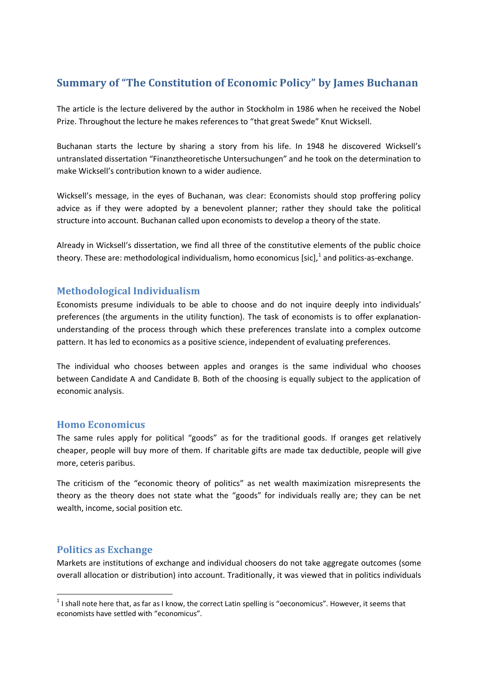# **Summary of "The Constitution of Economic Policy" by James Buchanan**

The article is the lecture delivered by the author in Stockholm in 1986 when he received the Nobel Prize. Throughout the lecture he makes references to "that great Swede" Knut Wicksell.

Buchanan starts the lecture by sharing a story from his life. In 1948 he discovered Wicksell's untranslated dissertation "Finanztheoretische Untersuchungen" and he took on the determination to make Wicksell's contribution known to a wider audience.

Wicksell's message, in the eyes of Buchanan, was clear: Economists should stop proffering policy advice as if they were adopted by a benevolent planner; rather they should take the political structure into account. Buchanan called upon economists to develop a theory of the state.

Already in Wicksell's dissertation, we find all three of the constitutive elements of the public choice theory. These are: methodological individualism, homo economicus [sic],  $^1$  and politics-as-exchange.

### **Methodological Individualism**

Economists presume individuals to be able to choose and do not inquire deeply into individuals' preferences (the arguments in the utility function). The task of economists is to offer explanationunderstanding of the process through which these preferences translate into a complex outcome pattern. It has led to economics as a positive science, independent of evaluating preferences.

The individual who chooses between apples and oranges is the same individual who chooses between Candidate A and Candidate B. Both of the choosing is equally subject to the application of economic analysis.

#### **Homo Economicus**

The same rules apply for political "goods" as for the traditional goods. If oranges get relatively cheaper, people will buy more of them. If charitable gifts are made tax deductible, people will give more, ceteris paribus.

The criticism of the "economic theory of politics" as net wealth maximization misrepresents the theory as the theory does not state what the "goods" for individuals really are; they can be net wealth, income, social position etc.

#### **Politics as Exchange**

-

Markets are institutions of exchange and individual choosers do not take aggregate outcomes (some overall allocation or distribution) into account. Traditionally, it was viewed that in politics individuals

 $1$ I shall note here that, as far as I know, the correct Latin spelling is "oeconomicus". However, it seems that economists have settled with "economicus".